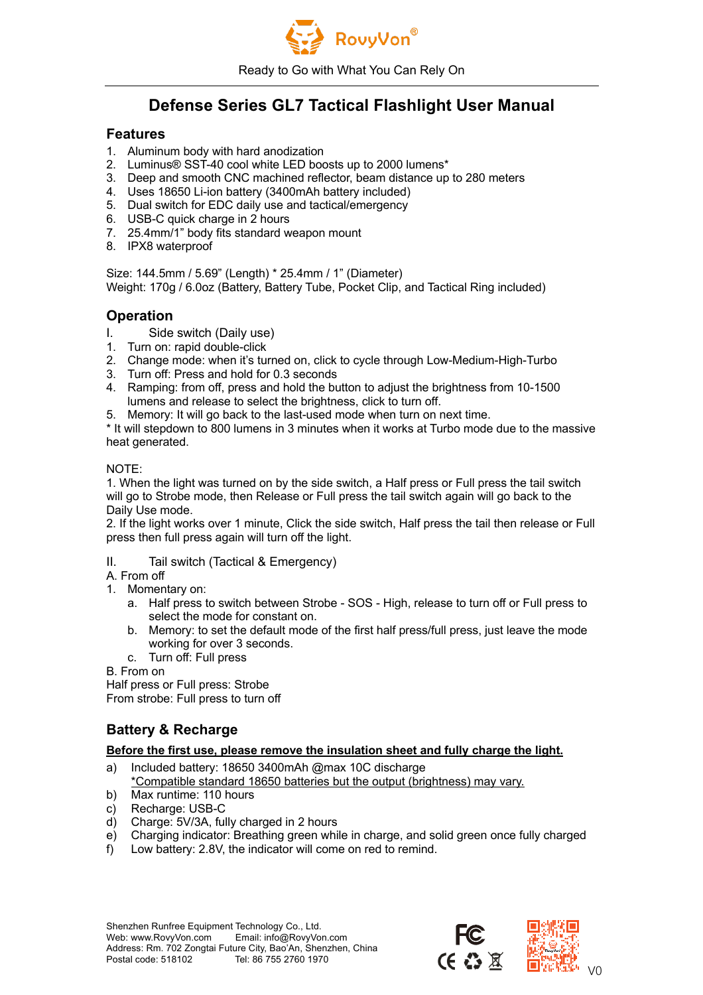

Ready to Go with What You Can Rely On

# **Defense Series GL7 Tactical Flashlight User Manual**

## **Features**

- 1. Aluminum body with hard anodization
- 2. Luminus® SST-40 cool white LED boosts up to 2000 lumens\*
- 3. Deep and smooth CNC machined reflector, beam distance up to 280 meters
- 4. Uses 18650 Li-ion battery (3400mAh battery included)
- 5. Dual switch for EDC daily use and tactical/emergency
- 6. USB-C quick charge in 2 hours
- 7. 25.4mm/1" body fits standard weapon mount
- 8. IPX8 waterproof

Size: 144.5mm / 5.69" (Length) \* 25.4mm / 1" (Diameter) Weight: 170g / 6.0oz (Battery, Battery Tube, Pocket Clip, and Tactical Ring included)

## **Operation**

- I. Side switch (Daily use)
- 1. Turn on: rapid double-click
- 2. Change mode: when it's turned on, click to cycle through Low-Medium-High-Turbo
- 3. Turn off: Press and hold for 0.3 seconds
- 4. Ramping: from off, press and hold the button to adjust the brightness from 10-1500 lumens and release to select the brightness, click to turn off.
- 5. Memory: It will go back to the last-used mode when turn on next time.

\* It will stepdown to 800 lumens in 3 minutes when it works at Turbo mode due to the massive heat generated.

#### NOTE:

1. When the light was turned on by the side switch, a Half press or Full press the tail switch will go to Strobe mode, then Release or Full press the tail switch again will go back to the Daily Use mode.

2. If the light works over 1 minute, Click the side switch, Half press the tail then release or Full press then full press again will turn off the light.

- II. Tail switch (Tactical & Emergency)
- A. From off
- 1. Momentary on:
	- a. Half press to switch between Strobe SOS High, release to turn off or Full press to select the mode for constant on.
	- b. Memory: to set the default mode of the first half press/full press, just leave the mode working for over 3 seconds.
	- c. Turn off: Full press

B. From on

Half press or Full press: Strobe From strobe: Full press to turn off

## **Battery & Recharge**

#### **Before the first use, please remove the insulation sheet and fully charge the light.**

- a) Included battery: 18650 3400mAh @max 10C discharge
- \*Compatible standard 18650 batteries but the output (brightness) may vary.
- b) Max runtime: 110 hours
- c) Recharge: USB-C
- d) Charge: 5V/3A, fully charged in 2 hours
- e) Charging indicator: Breathing green while in charge, and solid green once fully charged
- f) Low battery: 2.8V, the indicator will come on red to remind.